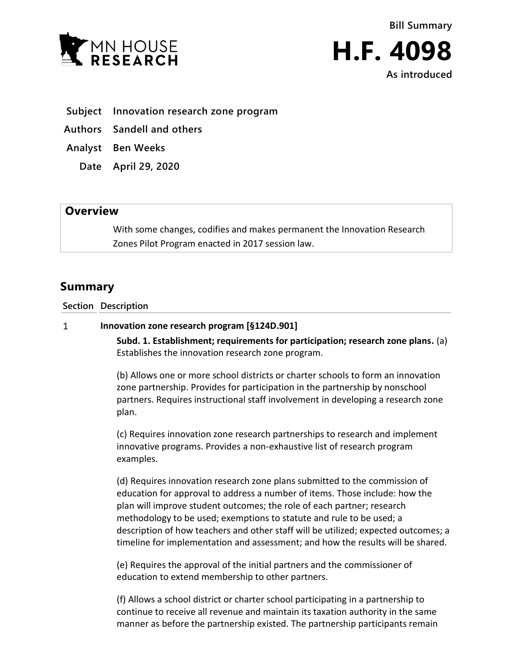



**As introduced**

- **Subject Innovation research zone program**
- **Authors Sandell and others**
- **Analyst Ben Weeks**
	- **Date April 29, 2020**

## **Overview**

With some changes, codifies and makes permanent the Innovation Research Zones Pilot Program enacted in 2017 session law.

# **Summary**

**Section Description**

#### $\mathbf{1}$ **Innovation zone research program [§124D.901]**

**Subd. 1. Establishment; requirements for participation; research zone plans.** (a) Establishes the innovation research zone program.

(b) Allows one or more school districts or charter schools to form an innovation zone partnership. Provides for participation in the partnership by nonschool partners. Requires instructional staff involvement in developing a research zone plan.

(c) Requires innovation zone research partnerships to research and implement innovative programs. Provides a non-exhaustive list of research program examples.

(d) Requires innovation research zone plans submitted to the commission of education for approval to address a number of items. Those include: how the plan will improve student outcomes; the role of each partner; research methodology to be used; exemptions to statute and rule to be used; a description of how teachers and other staff will be utilized; expected outcomes; a timeline for implementation and assessment; and how the results will be shared.

(e) Requires the approval of the initial partners and the commissioner of education to extend membership to other partners.

(f) Allows a school district or charter school participating in a partnership to continue to receive all revenue and maintain its taxation authority in the same manner as before the partnership existed. The partnership participants remain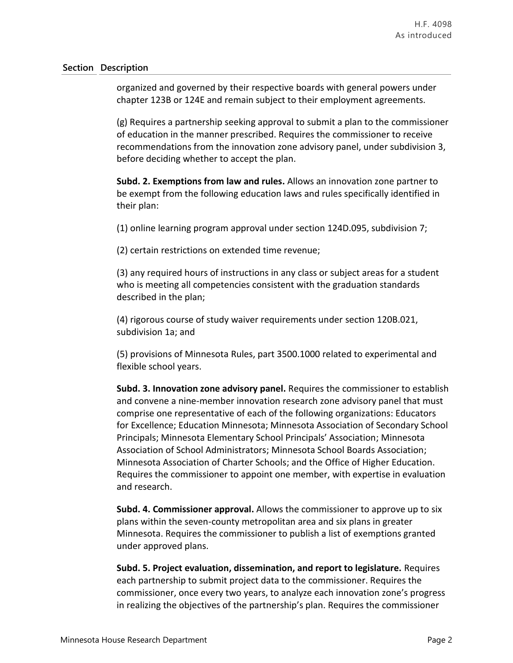### **Section Description**

organized and governed by their respective boards with general powers under chapter 123B or 124E and remain subject to their employment agreements.

(g) Requires a partnership seeking approval to submit a plan to the commissioner of education in the manner prescribed. Requires the commissioner to receive recommendations from the innovation zone advisory panel, under subdivision 3, before deciding whether to accept the plan.

**Subd. 2. Exemptions from law and rules.** Allows an innovation zone partner to be exempt from the following education laws and rules specifically identified in their plan:

(1) online learning program approval under section 124D.095, subdivision 7;

(2) certain restrictions on extended time revenue;

(3) any required hours of instructions in any class or subject areas for a student who is meeting all competencies consistent with the graduation standards described in the plan;

(4) rigorous course of study waiver requirements under section 120B.021, subdivision 1a; and

(5) provisions of Minnesota Rules, part 3500.1000 related to experimental and flexible school years.

**Subd. 3. Innovation zone advisory panel.** Requires the commissioner to establish and convene a nine-member innovation research zone advisory panel that must comprise one representative of each of the following organizations: Educators for Excellence; Education Minnesota; Minnesota Association of Secondary School Principals; Minnesota Elementary School Principals' Association; Minnesota Association of School Administrators; Minnesota School Boards Association; Minnesota Association of Charter Schools; and the Office of Higher Education. Requires the commissioner to appoint one member, with expertise in evaluation and research.

**Subd. 4. Commissioner approval.** Allows the commissioner to approve up to six plans within the seven-county metropolitan area and six plans in greater Minnesota. Requires the commissioner to publish a list of exemptions granted under approved plans.

**Subd. 5. Project evaluation, dissemination, and report to legislature.** Requires each partnership to submit project data to the commissioner. Requires the commissioner, once every two years, to analyze each innovation zone's progress in realizing the objectives of the partnership's plan. Requires the commissioner